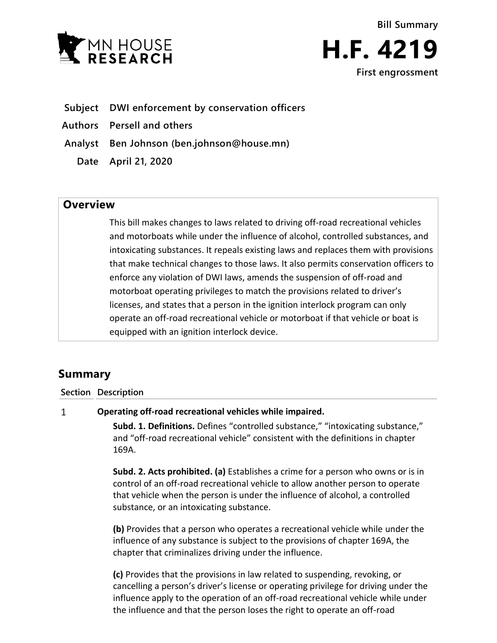



- **Subject DWI enforcement by conservation officers**
- **Authors Persell and others**
- **Analyst Ben Johnson (ben.johnson@house.mn)**
	- **Date April 21, 2020**

## **Overview**

This bill makes changes to laws related to driving off-road recreational vehicles and motorboats while under the influence of alcohol, controlled substances, and intoxicating substances. It repeals existing laws and replaces them with provisions that make technical changes to those laws. It also permits conservation officers to enforce any violation of DWI laws, amends the suspension of off-road and motorboat operating privileges to match the provisions related to driver's licenses, and states that a person in the ignition interlock program can only operate an off-road recreational vehicle or motorboat if that vehicle or boat is equipped with an ignition interlock device.

# **Summary**

### **Section Description**

#### $\mathbf{1}$ **Operating off-road recreational vehicles while impaired.**

**Subd. 1. Definitions.** Defines "controlled substance," "intoxicating substance," and "off-road recreational vehicle" consistent with the definitions in chapter 169A.

**Subd. 2. Acts prohibited. (a)** Establishes a crime for a person who owns or is in control of an off-road recreational vehicle to allow another person to operate that vehicle when the person is under the influence of alcohol, a controlled substance, or an intoxicating substance.

**(b)** Provides that a person who operates a recreational vehicle while under the influence of any substance is subject to the provisions of chapter 169A, the chapter that criminalizes driving under the influence.

**(c)** Provides that the provisions in law related to suspending, revoking, or cancelling a person's driver's license or operating privilege for driving under the influence apply to the operation of an off-road recreational vehicle while under the influence and that the person loses the right to operate an off-road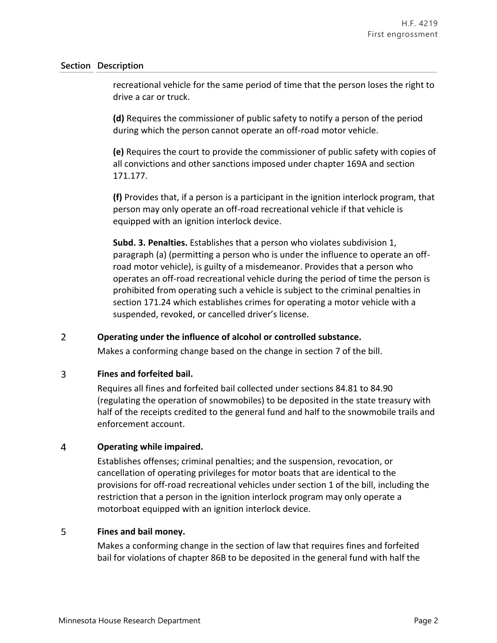### **Section Description**

recreational vehicle for the same period of time that the person loses the right to drive a car or truck.

**(d)** Requires the commissioner of public safety to notify a person of the period during which the person cannot operate an off-road motor vehicle.

**(e)** Requires the court to provide the commissioner of public safety with copies of all convictions and other sanctions imposed under chapter 169A and section 171.177.

**(f)** Provides that, if a person is a participant in the ignition interlock program, that person may only operate an off-road recreational vehicle if that vehicle is equipped with an ignition interlock device.

**Subd. 3. Penalties.** Establishes that a person who violates subdivision 1, paragraph (a) (permitting a person who is under the influence to operate an offroad motor vehicle), is guilty of a misdemeanor. Provides that a person who operates an off-road recreational vehicle during the period of time the person is prohibited from operating such a vehicle is subject to the criminal penalties in section 171.24 which establishes crimes for operating a motor vehicle with a suspended, revoked, or cancelled driver's license.

#### $\overline{2}$ **Operating under the influence of alcohol or controlled substance.**

Makes a conforming change based on the change in section 7 of the bill.

#### $\overline{3}$ **Fines and forfeited bail.**

Requires all fines and forfeited bail collected under sections 84.81 to 84.90 (regulating the operation of snowmobiles) to be deposited in the state treasury with half of the receipts credited to the general fund and half to the snowmobile trails and enforcement account.

#### $\overline{4}$ **Operating while impaired.**

Establishes offenses; criminal penalties; and the suspension, revocation, or cancellation of operating privileges for motor boats that are identical to the provisions for off-road recreational vehicles under section 1 of the bill, including the restriction that a person in the ignition interlock program may only operate a motorboat equipped with an ignition interlock device.

#### 5 **Fines and bail money.**

Makes a conforming change in the section of law that requires fines and forfeited bail for violations of chapter 86B to be deposited in the general fund with half the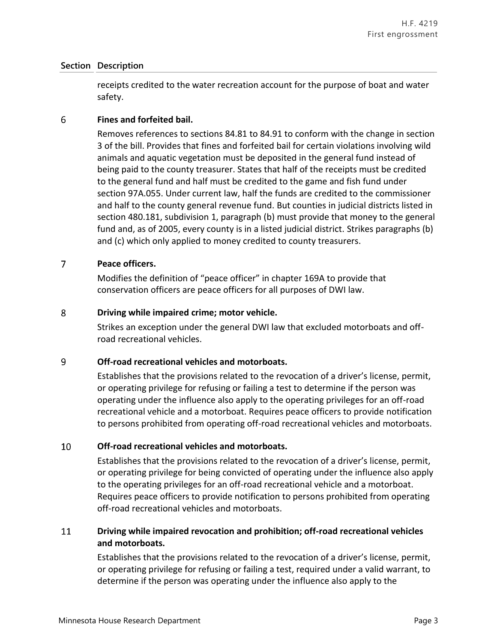### **Section Description**

receipts credited to the water recreation account for the purpose of boat and water safety.

#### 6 **Fines and forfeited bail.**

Removes references to sections 84.81 to 84.91 to conform with the change in section 3 of the bill. Provides that fines and forfeited bail for certain violations involving wild animals and aquatic vegetation must be deposited in the general fund instead of being paid to the county treasurer. States that half of the receipts must be credited to the general fund and half must be credited to the game and fish fund under section 97A.055. Under current law, half the funds are credited to the commissioner and half to the county general revenue fund. But counties in judicial districts listed in section 480.181, subdivision 1, paragraph (b) must provide that money to the general fund and, as of 2005, every county is in a listed judicial district. Strikes paragraphs (b) and (c) which only applied to money credited to county treasurers.

#### $\overline{7}$ **Peace officers.**

Modifies the definition of "peace officer" in chapter 169A to provide that conservation officers are peace officers for all purposes of DWI law.

#### 8 **Driving while impaired crime; motor vehicle.**

Strikes an exception under the general DWI law that excluded motorboats and offroad recreational vehicles.

#### 9 **Off-road recreational vehicles and motorboats.**

Establishes that the provisions related to the revocation of a driver's license, permit, or operating privilege for refusing or failing a test to determine if the person was operating under the influence also apply to the operating privileges for an off-road recreational vehicle and a motorboat. Requires peace officers to provide notification to persons prohibited from operating off-road recreational vehicles and motorboats.

#### 10 **Off-road recreational vehicles and motorboats.**

Establishes that the provisions related to the revocation of a driver's license, permit, or operating privilege for being convicted of operating under the influence also apply to the operating privileges for an off-road recreational vehicle and a motorboat. Requires peace officers to provide notification to persons prohibited from operating off-road recreational vehicles and motorboats.

### 11 **Driving while impaired revocation and prohibition; off-road recreational vehicles and motorboats.**

Establishes that the provisions related to the revocation of a driver's license, permit, or operating privilege for refusing or failing a test, required under a valid warrant, to determine if the person was operating under the influence also apply to the